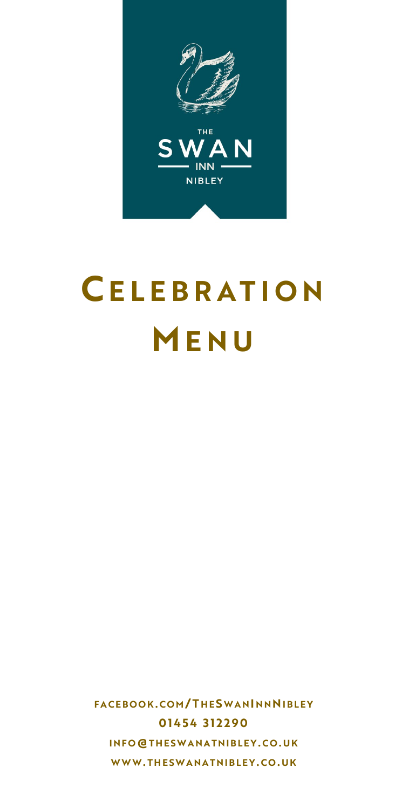

# **CE L E B R A T I O N M E N U**

**F A C E B O O K. C O M / T H E S W A NI N NNI B L E Y 0 1 4 5 4 3 1 2 2 9 0 I N F O@T H E S W A N A T N I B L E Y . C O . U K WWW. T H E S W A N A T N I B L E Y . C O . U K**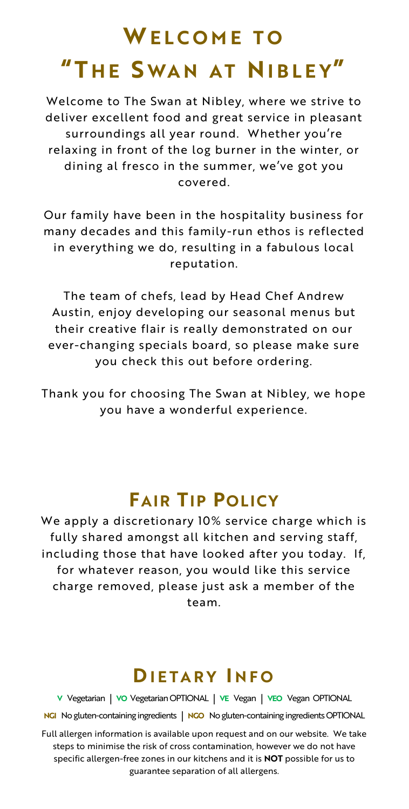# **WE L C O M E T O "T H E S WA N A T NI B L E Y"**

Welcome to The Swan at Nibley, where we strive to deliver excellent food and great service in pleasant surroundings all year round. Whether you're relaxing in front of the log burner in the winter, or dining al fresco in the summer, we've got you covered.

Our family have been in the hospitality business for many decades and this family-run ethos is reflected in everything we do, resulting in a fabulous local reputation.

The team of chefs, lead by Head Chef Andrew Austin, enjoy developing our seasonal menus but their creative flair is really demonstrated on our ever-changing specials board, so please make sure you check this out before ordering.

Thank you for choosing The Swan at Nibley, we hope you have a wonderful experience.

## **FAIR TIP POLICY**

We apply a discretionary 10% service charge which is fully shared amongst all kitchen and serving staff, including those that have looked after you today. If, for whatever reason, you would like this service charge removed, please just ask a member of the team.

### **DI E T A R Y I N F O**

**V** Vegetarian **| VO** Vegetarian OPTIONAL **| VE** Vegan **| VEO** Vegan OPTIONAL **NGI** No gluten-containing ingredients **| NGO** No gluten-containing ingredients OPTIONAL

Full allergen information is available upon request and on our website. We take steps to minimise the risk of cross contamination, however we do not have specific allergen-free zones in our kitchens and it is **NOT** possible for us to guarantee separation of all allergens.